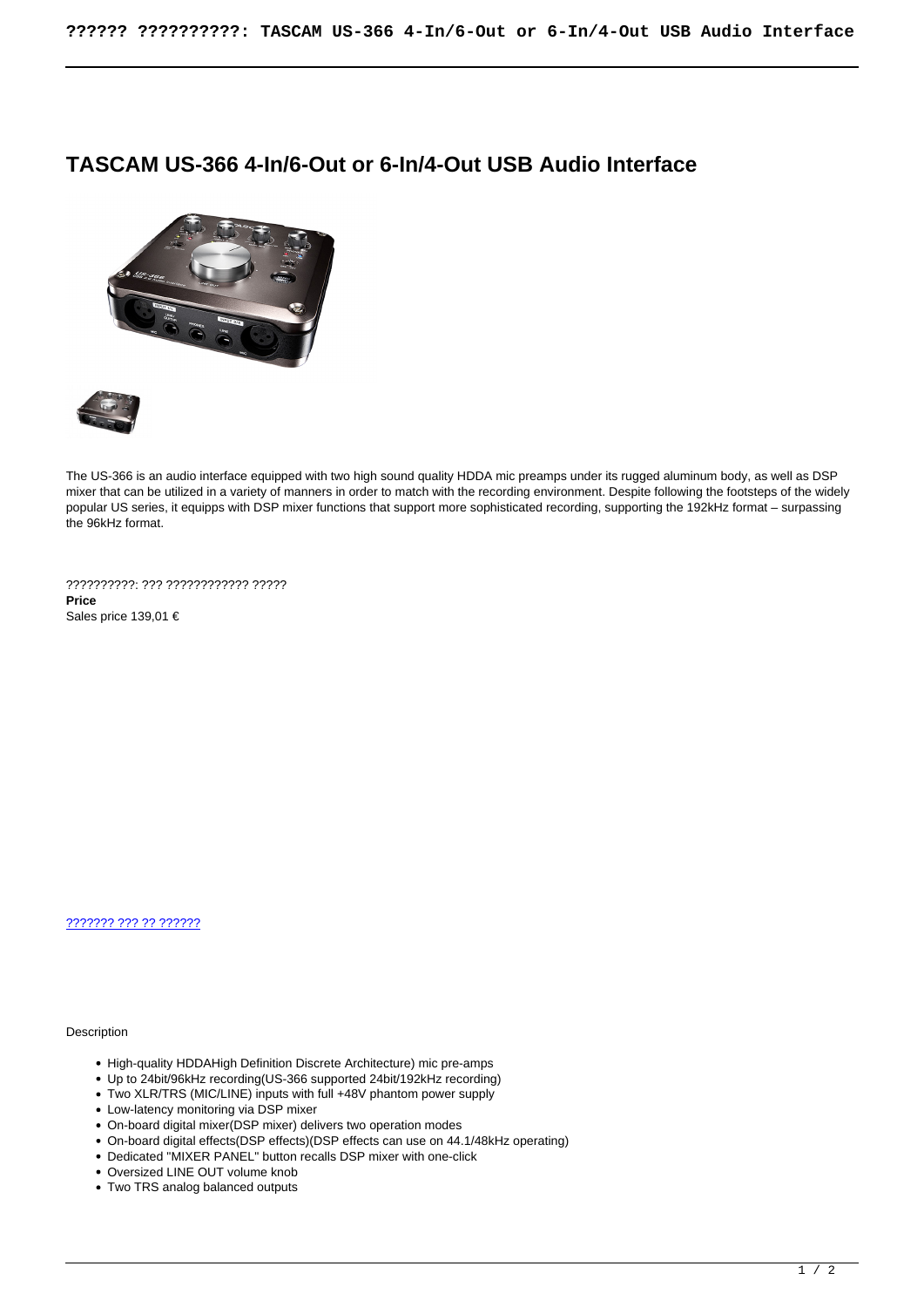## **TASCAM US-366 4-In/6-Out or 6-In/4-Out USB Audio Interface**





The US-366 is an audio interface equipped with two high sound quality HDDA mic preamps under its rugged aluminum body, as well as DSP mixer that can be utilized in a variety of manners in order to match with the recording environment. Despite following the footsteps of the widely popular US series, it equipps with DSP mixer functions that support more sophisticated recording, supporting the 192kHz format – surpassing the 96kHz format.

??????????: ??? ???????????? ????? **Price**  Sales price 139,01 €

[??????? ??? ?? ??????](https://audiohouse.gr/index.php?option=com_virtuemart&view=productdetails&task=askquestion&virtuemart_product_id=1833&virtuemart_category_id=6&tmpl=component)

**Description** 

- High-quality HDDAHigh Definition Discrete Architecture) mic pre-amps
- Up to 24bit/96kHz recording(US-366 supported 24bit/192kHz recording)
- Two XLR/TRS (MIC/LINE) inputs with full +48V phantom power supply
- Low-latency monitoring via DSP mixer
- On-board digital mixer(DSP mixer) delivers two operation modes
- On-board digital effects(DSP effects)(DSP effects can use on 44.1/48kHz operating)
- Dedicated "MIXER PANEL" button recalls DSP mixer with one-click
- Oversized LINE OUT volume knob
- Two TRS analog balanced outputs